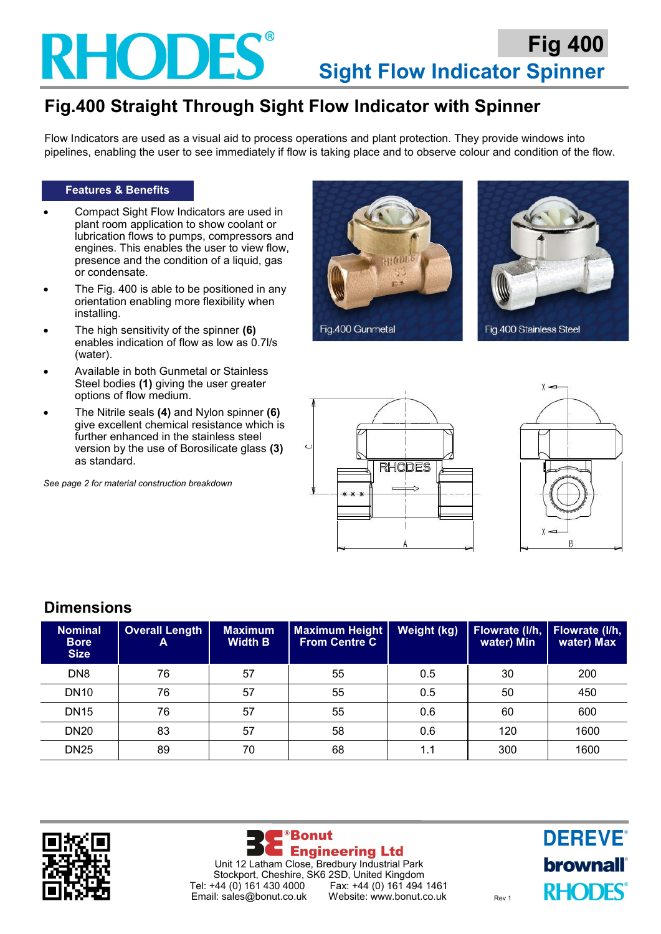## **RHODES**

## **Fig.400 Straight Through Sight Flow Indicator with Spinner**

Flow Indicators are used as a visual aid to process operations and plant protection. They provide windows into pipelines, enabling the user to see immediately if flow is taking place and to observe colour and condition of the flow.

#### **Features & Benefits**

- Compact Sight Flow Indicators are used in plant room application to show coolant or lubrication flows to pumps, compressors and engines. This enables the user to view flow, presence and the condition of a liquid, gas or condensate.
- The Fig. 400 is able to be positioned in any orientation enabling more flexibility when installing.
- The high sensitivity of the spinner **(6)**  enables indication of flow as low as 0.7l/s (water).
- Available in both Gunmetal or Stainless Steel bodies **(1)** giving the user greater options of flow medium.
- The Nitrile seals **(4)** and Nylon spinner **(6)**  give excellent chemical resistance which is further enhanced in the stainless steel version by the use of Borosilicate glass **(3)**  as standard.

*See page 2 for material construction breakdown*









### **Dimensions**

| <b>Nominal</b><br><b>Bore</b><br><b>Size</b> | <b>Overall Length</b><br>A | <b>Maximum</b><br><b>Width B</b> | <b>Maximum Height</b><br><b>From Centre C</b> | Weight (kg) | Flowrate (I/h,<br>water) Min | Flowrate (I/h,<br>water) Max |
|----------------------------------------------|----------------------------|----------------------------------|-----------------------------------------------|-------------|------------------------------|------------------------------|
| DN <sub>8</sub>                              | 76                         | 57                               | 55                                            | 0.5         | 30                           | 200                          |
| <b>DN10</b>                                  | 76                         | 57                               | 55                                            | 0.5         | 50                           | 450                          |
| <b>DN15</b>                                  | 76                         | 57                               | 55                                            | 0.6         | 60                           | 600                          |
| <b>DN20</b>                                  | 83                         | 57                               | 58                                            | 0.6         | 120                          | 1600                         |
| <b>DN25</b>                                  | 89                         | 70                               | 68                                            | 1.1         | 300                          | 1600                         |





**DEREVE®** brownall **RHODES**